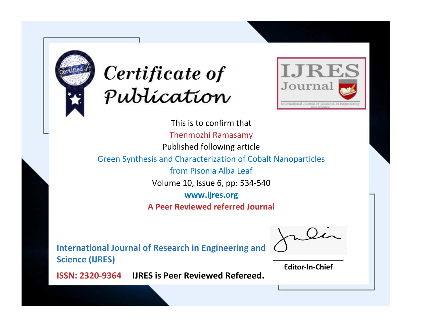



This is to confirm that Thenmozhi Ramasamy Published following article Green Synthesis and Characterization of Cobalt Nanoparticles from Pisonia Alba Leaf Volume 10, Issue 6, pp: 534-540 **www.ijres.org A Peer Reviewed referred Journal**

**International Journal of Research in Engineering and Science (IJRES)**

\_\_\_\_\_\_\_\_\_\_\_\_\_\_\_\_\_\_\_\_\_\_\_\_ **Editor-In-Chief**

**Journal.**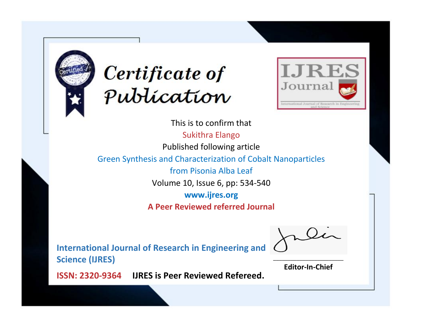



This is to confirm that Sukithra Elango Published following article Green Synthesis and Characterization of Cobalt Nanoparticles from Pisonia Alba Leaf Volume 10, Issue 6, pp: 534-540 **www.ijres.org A Peer Reviewed referred Journal**

**International Journal of Research in Engineering and Science (IJRES)**

\_\_\_\_\_\_\_\_\_\_\_\_\_\_\_\_\_\_\_\_\_\_\_\_ **Editor-In-Chief**

**Journal.**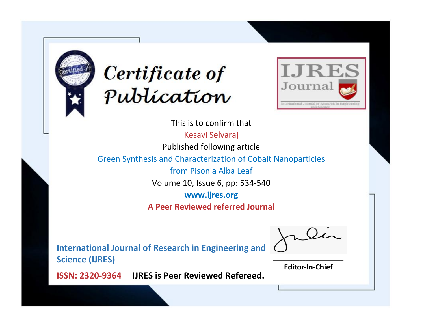



This is to confirm that Kesavi Selvaraj Published following article Green Synthesis and Characterization of Cobalt Nanoparticles from Pisonia Alba Leaf Volume 10, Issue 6, pp: 534-540 **www.ijres.org A Peer Reviewed referred Journal**

**International Journal of Research in Engineering and Science (IJRES)**

\_\_\_\_\_\_\_\_\_\_\_\_\_\_\_\_\_\_\_\_\_\_\_\_ **Editor-In-Chief**

**Journal.**